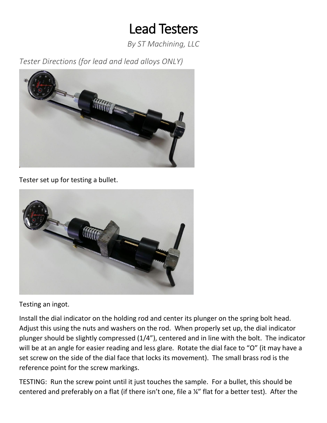## Lead Testers

*By ST Machining, LLC*

*Tester Directions (for lead and lead alloys ONLY)*



Tester set up for testing a bullet.



Testing an ingot.

Install the dial indicator on the holding rod and center its plunger on the spring bolt head. Adjust this using the nuts and washers on the rod. When properly set up, the dial indicator plunger should be slightly compressed (1/4"), centered and in line with the bolt. The indicator will be at an angle for easier reading and less glare. Rotate the dial face to "O" (it may have a set screw on the side of the dial face that locks its movement). The small brass rod is the reference point for the screw markings.

TESTING: Run the screw point until it just touches the sample. For a bullet, this should be centered and preferably on a flat (if there isn't one, file a ¼" flat for a better test). After the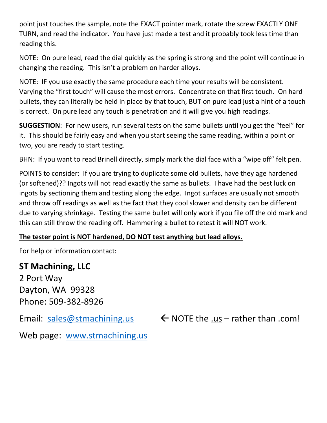point just touches the sample, note the EXACT pointer mark, rotate the screw EXACTLY ONE TURN, and read the indicator. You have just made a test and it probably took less time than reading this.

NOTE: On pure lead, read the dial quickly as the spring is strong and the point will continue in changing the reading. This isn't a problem on harder alloys.

NOTE: IF you use exactly the same procedure each time your results will be consistent. Varying the "first touch" will cause the most errors. Concentrate on that first touch. On hard bullets, they can literally be held in place by that touch, BUT on pure lead just a hint of a touch is correct. On pure lead any touch is penetration and it will give you high readings.

**SUGGESTION**: For new users, run several tests on the same bullets until you get the "feel" for it. This should be fairly easy and when you start seeing the same reading, within a point or two, you are ready to start testing.

BHN: If you want to read Brinell directly, simply mark the dial face with a "wipe off" felt pen.

POINTS to consider: If you are trying to duplicate some old bullets, have they age hardened (or softened)?? Ingots will not read exactly the same as bullets. I have had the best luck on ingots by sectioning them and testing along the edge. Ingot surfaces are usually not smooth and throw off readings as well as the fact that they cool slower and density can be different due to varying shrinkage. Testing the same bullet will only work if you file off the old mark and this can still throw the reading off. Hammering a bullet to retest it will NOT work.

## **The tester point is NOT hardened, DO NOT test anything but lead alloys.**

For help or information contact:

**ST Machining, LLC** 2 Port Way Dayton, WA 99328 Phone: 509-382-8926

Email: [sales@stmachining.us](mailto:sales@stmachining.us)  $\leftarrow$  NOTE the .us – rather than .com!

Web page: [www.stmachining.us](http://www.stmachining.us/)